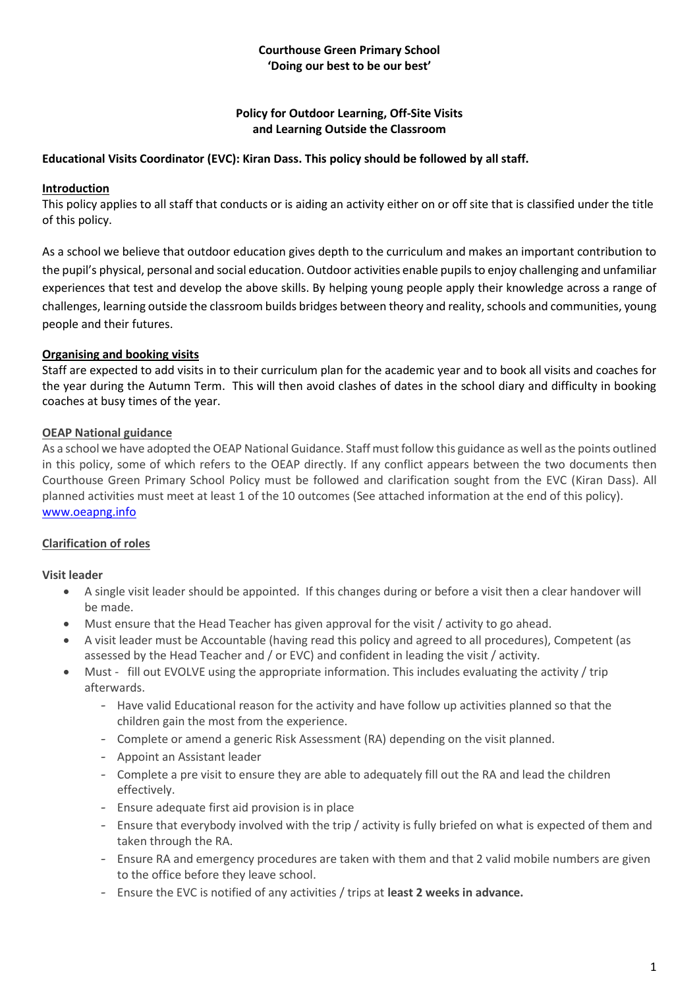## **Courthouse Green Primary School 'Doing our best to be our best'**

## **Policy for Outdoor Learning, Off-Site Visits and Learning Outside the Classroom**

## **Educational Visits Coordinator (EVC): Kiran Dass. This policy should be followed by all staff.**

#### **Introduction**

This policy applies to all staff that conducts or is aiding an activity either on or off site that is classified under the title of this policy.

As a school we believe that outdoor education gives depth to the curriculum and makes an important contribution to the pupil's physical, personal and social education. Outdoor activities enable pupils to enjoy challenging and unfamiliar experiences that test and develop the above skills. By helping young people apply their knowledge across a range of challenges, learning outside the classroom builds bridges between theory and reality, schools and communities, young people and their futures.

#### **Organising and booking visits**

Staff are expected to add visits in to their curriculum plan for the academic year and to book all visits and coaches for the year during the Autumn Term. This will then avoid clashes of dates in the school diary and difficulty in booking coaches at busy times of the year.

#### **OEAP National guidance**

As a school we have adopted the OEAP National Guidance. Staff must follow this guidance as well as the points outlined in this policy, some of which refers to the OEAP directly. If any conflict appears between the two documents then Courthouse Green Primary School Policy must be followed and clarification sought from the EVC (Kiran Dass). All planned activities must meet at least 1 of the 10 outcomes (See attached information at the end of this policy). [www.oeapng.info](http://www.oeapng.info/)

## **Clarification of roles**

#### **Visit leader**

- A single visit leader should be appointed. If this changes during or before a visit then a clear handover will be made.
- Must ensure that the Head Teacher has given approval for the visit / activity to go ahead.
- A visit leader must be Accountable (having read this policy and agreed to all procedures), Competent (as assessed by the Head Teacher and / or EVC) and confident in leading the visit / activity.
- Must fill out EVOLVE using the appropriate information. This includes evaluating the activity / trip afterwards.
	- Have valid Educational reason for the activity and have follow up activities planned so that the children gain the most from the experience.
	- Complete or amend a generic Risk Assessment (RA) depending on the visit planned.
	- Appoint an Assistant leader
	- Complete a pre visit to ensure they are able to adequately fill out the RA and lead the children effectively.
	- Ensure adequate first aid provision is in place
	- Ensure that everybody involved with the trip / activity is fully briefed on what is expected of them and taken through the RA.
	- Ensure RA and emergency procedures are taken with them and that 2 valid mobile numbers are given to the office before they leave school.
	- Ensure the EVC is notified of any activities / trips at **least 2 weeks in advance.**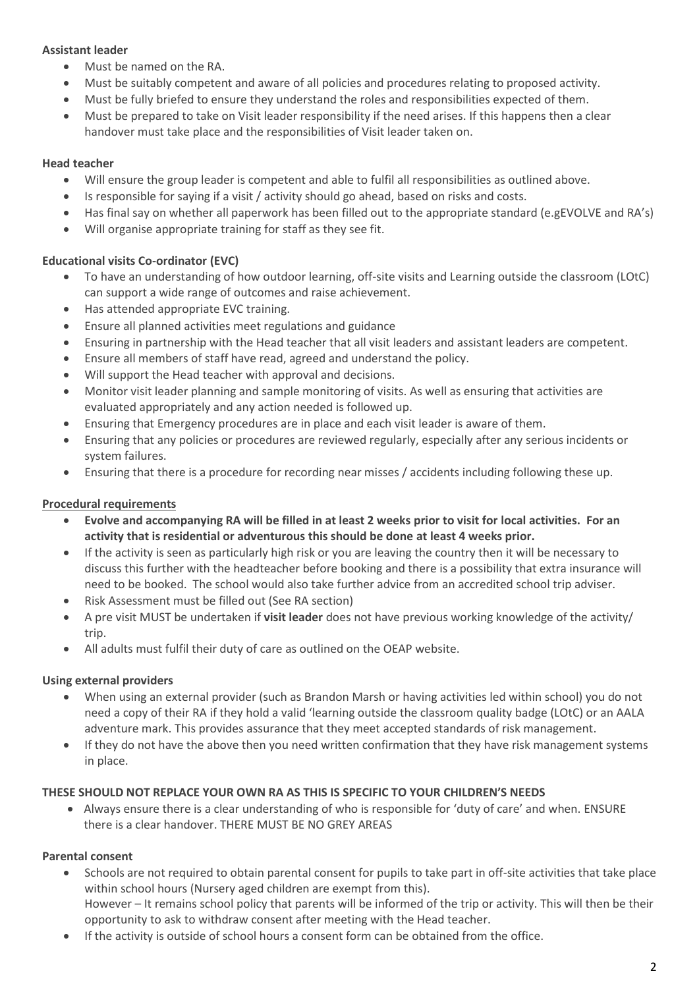## **Assistant leader**

- Must be named on the RA.
- Must be suitably competent and aware of all policies and procedures relating to proposed activity.
- Must be fully briefed to ensure they understand the roles and responsibilities expected of them.
- Must be prepared to take on Visit leader responsibility if the need arises. If this happens then a clear handover must take place and the responsibilities of Visit leader taken on.

## **Head teacher**

- Will ensure the group leader is competent and able to fulfil all responsibilities as outlined above.
- Is responsible for saying if a visit / activity should go ahead, based on risks and costs.
- Has final say on whether all paperwork has been filled out to the appropriate standard (e.gEVOLVE and RA's)
- Will organise appropriate training for staff as they see fit.

## **Educational visits Co-ordinator (EVC)**

- To have an understanding of how outdoor learning, off-site visits and Learning outside the classroom (LOtC) can support a wide range of outcomes and raise achievement.
- Has attended appropriate EVC training.
- Ensure all planned activities meet regulations and guidance
- Ensuring in partnership with the Head teacher that all visit leaders and assistant leaders are competent.
- Ensure all members of staff have read, agreed and understand the policy.
- Will support the Head teacher with approval and decisions.
- Monitor visit leader planning and sample monitoring of visits. As well as ensuring that activities are evaluated appropriately and any action needed is followed up.
- Ensuring that Emergency procedures are in place and each visit leader is aware of them.
- Ensuring that any policies or procedures are reviewed regularly, especially after any serious incidents or system failures.
- Ensuring that there is a procedure for recording near misses / accidents including following these up.

## **Procedural requirements**

- **Evolve and accompanying RA will be filled in at least 2 weeks prior to visit for local activities. For an activity that is residential or adventurous this should be done at least 4 weeks prior.**
- If the activity is seen as particularly high risk or you are leaving the country then it will be necessary to discuss this further with the headteacher before booking and there is a possibility that extra insurance will need to be booked. The school would also take further advice from an accredited school trip adviser.
- Risk Assessment must be filled out (See RA section)
- A pre visit MUST be undertaken if **visit leader** does not have previous working knowledge of the activity/ trin.
- All adults must fulfil their duty of care as outlined on the OEAP website.

## **Using external providers**

- When using an external provider (such as Brandon Marsh or having activities led within school) you do not need a copy of their RA if they hold a valid 'learning outside the classroom quality badge (LOtC) or an AALA adventure mark. This provides assurance that they meet accepted standards of risk management.
- If they do not have the above then you need written confirmation that they have risk management systems in place.

## **THESE SHOULD NOT REPLACE YOUR OWN RA AS THIS IS SPECIFIC TO YOUR CHILDREN'S NEEDS**

• Always ensure there is a clear understanding of who is responsible for 'duty of care' and when. ENSURE there is a clear handover. THERE MUST BE NO GREY AREAS

## **Parental consent**

- Schools are not required to obtain parental consent for pupils to take part in off-site activities that take place within school hours (Nursery aged children are exempt from this). However – It remains school policy that parents will be informed of the trip or activity. This will then be their opportunity to ask to withdraw consent after meeting with the Head teacher.
- If the activity is outside of school hours a consent form can be obtained from the office.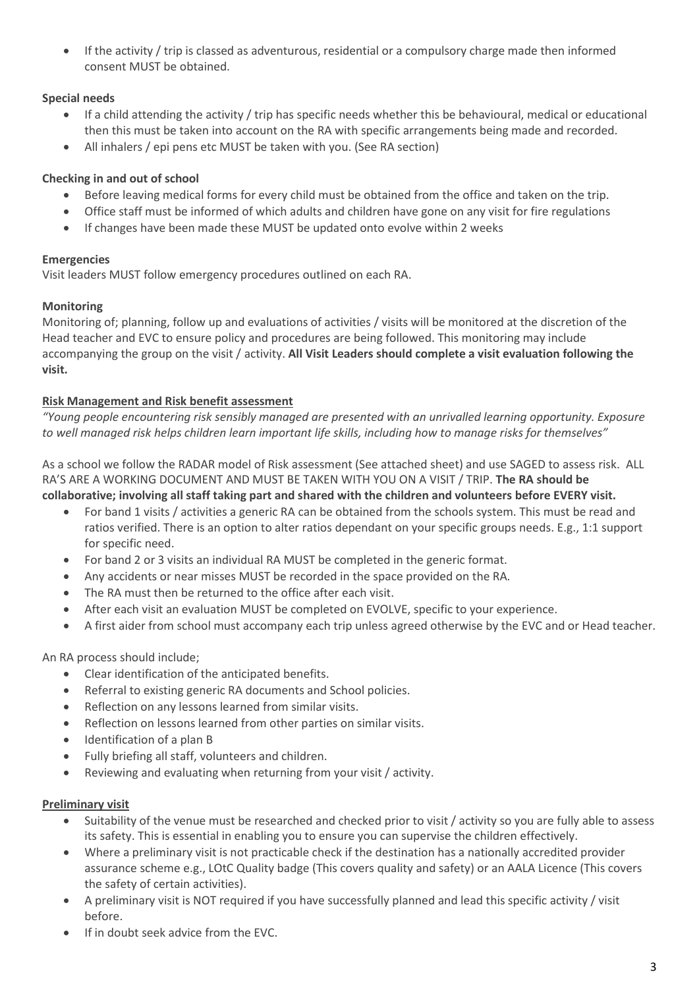• If the activity / trip is classed as adventurous, residential or a compulsory charge made then informed consent MUST be obtained.

# **Special needs**

- If a child attending the activity / trip has specific needs whether this be behavioural, medical or educational then this must be taken into account on the RA with specific arrangements being made and recorded.
- All inhalers / epi pens etc MUST be taken with you. (See RA section)

# **Checking in and out of school**

- Before leaving medical forms for every child must be obtained from the office and taken on the trip.
- Office staff must be informed of which adults and children have gone on any visit for fire regulations
- If changes have been made these MUST be updated onto evolve within 2 weeks

# **Emergencies**

Visit leaders MUST follow emergency procedures outlined on each RA.

# **Monitoring**

Monitoring of; planning, follow up and evaluations of activities / visits will be monitored at the discretion of the Head teacher and EVC to ensure policy and procedures are being followed. This monitoring may include accompanying the group on the visit / activity. **All Visit Leaders should complete a visit evaluation following the visit.**

## **Risk Management and Risk benefit assessment**

*"Young people encountering risk sensibly managed are presented with an unrivalled learning opportunity. Exposure to well managed risk helps children learn important life skills, including how to manage risks for themselves"*

As a school we follow the RADAR model of Risk assessment (See attached sheet) and use SAGED to assess risk. ALL RA'S ARE A WORKING DOCUMENT AND MUST BE TAKEN WITH YOU ON A VISIT / TRIP. **The RA should be collaborative; involving all staff taking part and shared with the children and volunteers before EVERY visit.** 

- For band 1 visits / activities a generic RA can be obtained from the schools system. This must be read and ratios verified. There is an option to alter ratios dependant on your specific groups needs. E.g., 1:1 support for specific need.
- For band 2 or 3 visits an individual RA MUST be completed in the generic format.
- Any accidents or near misses MUST be recorded in the space provided on the RA.
- The RA must then be returned to the office after each visit.
- After each visit an evaluation MUST be completed on EVOLVE, specific to your experience.
- A first aider from school must accompany each trip unless agreed otherwise by the EVC and or Head teacher.

## An RA process should include;

- Clear identification of the anticipated benefits.
- Referral to existing generic RA documents and School policies.
- Reflection on any lessons learned from similar visits.
- Reflection on lessons learned from other parties on similar visits.
- Identification of a plan B
- Fully briefing all staff, volunteers and children.
- Reviewing and evaluating when returning from your visit / activity.

## **Preliminary visit**

- Suitability of the venue must be researched and checked prior to visit / activity so you are fully able to assess its safety. This is essential in enabling you to ensure you can supervise the children effectively.
- Where a preliminary visit is not practicable check if the destination has a nationally accredited provider assurance scheme e.g., LOtC Quality badge (This covers quality and safety) or an AALA Licence (This covers the safety of certain activities).
- A preliminary visit is NOT required if you have successfully planned and lead this specific activity / visit before.
- If in doubt seek advice from the EVC.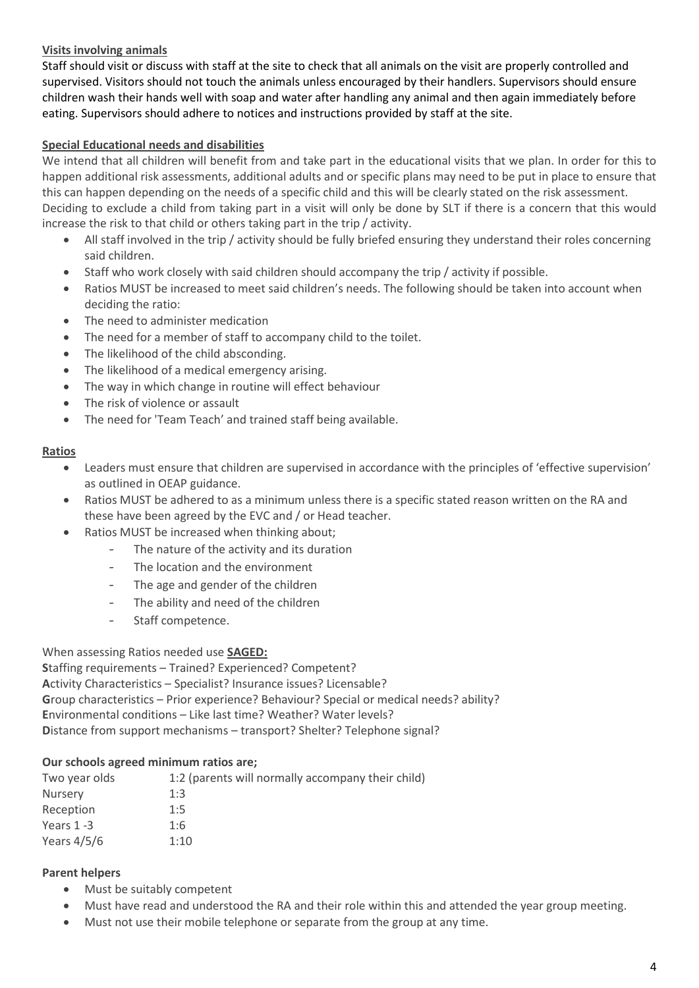## **Visits involving animals**

Staff should visit or discuss with staff at the site to check that all animals on the visit are properly controlled and supervised. Visitors should not touch the animals unless encouraged by their handlers. Supervisors should ensure children wash their hands well with soap and water after handling any animal and then again immediately before eating. Supervisors should adhere to notices and instructions provided by staff at the site.

## **Special Educational needs and disabilities**

We intend that all children will benefit from and take part in the educational visits that we plan. In order for this to happen additional risk assessments, additional adults and or specific plans may need to be put in place to ensure that this can happen depending on the needs of a specific child and this will be clearly stated on the risk assessment. Deciding to exclude a child from taking part in a visit will only be done by SLT if there is a concern that this would increase the risk to that child or others taking part in the trip / activity.

- All staff involved in the trip / activity should be fully briefed ensuring they understand their roles concerning said children.
- Staff who work closely with said children should accompany the trip / activity if possible.
- Ratios MUST be increased to meet said children's needs. The following should be taken into account when deciding the ratio:
- The need to administer medication
- The need for a member of staff to accompany child to the toilet.
- The likelihood of the child absconding.
- The likelihood of a medical emergency arising.
- The way in which change in routine will effect behaviour
- The risk of violence or assault
- The need for 'Team Teach' and trained staff being available.

## **Ratios**

- Leaders must ensure that children are supervised in accordance with the principles of 'effective supervision' as outlined in OEAP guidance.
- Ratios MUST be adhered to as a minimum unless there is a specific stated reason written on the RA and these have been agreed by the EVC and / or Head teacher.
- Ratios MUST be increased when thinking about;
	- The nature of the activity and its duration
	- The location and the environment
	- The age and gender of the children
	- The ability and need of the children
	- Staff competence.

When assessing Ratios needed use **SAGED:**

**S**taffing requirements – Trained? Experienced? Competent? **A**ctivity Characteristics – Specialist? Insurance issues? Licensable? **G**roup characteristics – Prior experience? Behaviour? Special or medical needs? ability? **E**nvironmental conditions – Like last time? Weather? Water levels? **D**istance from support mechanisms – transport? Shelter? Telephone signal?

## **Our schools agreed minimum ratios are;**

| Two year olds  | 1:2 (parents will normally accompany their child) |  |
|----------------|---------------------------------------------------|--|
| <b>Nursery</b> | 1:3                                               |  |
| Reception      | 1:5                                               |  |
| Years $1 - 3$  | 1:6                                               |  |
| Years $4/5/6$  | 1:10                                              |  |

## **Parent helpers**

- Must be suitably competent
- Must have read and understood the RA and their role within this and attended the year group meeting.
- Must not use their mobile telephone or separate from the group at any time.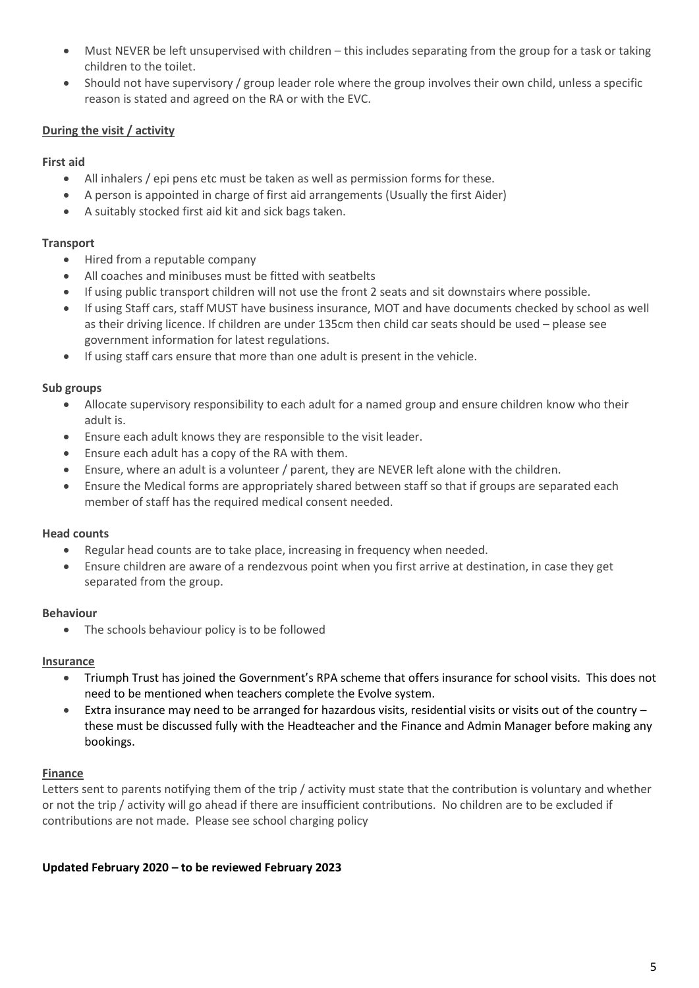- Must NEVER be left unsupervised with children this includes separating from the group for a task or taking children to the toilet.
- Should not have supervisory / group leader role where the group involves their own child, unless a specific reason is stated and agreed on the RA or with the EVC.

## **During the visit / activity**

#### **First aid**

- All inhalers / epi pens etc must be taken as well as permission forms for these.
- A person is appointed in charge of first aid arrangements (Usually the first Aider)
- A suitably stocked first aid kit and sick bags taken.

#### **Transport**

- Hired from a reputable company
- All coaches and minibuses must be fitted with seatbelts
- If using public transport children will not use the front 2 seats and sit downstairs where possible.
- If using Staff cars, staff MUST have business insurance, MOT and have documents checked by school as well as their driving licence. If children are under 135cm then child car seats should be used – please see government information for latest regulations.
- If using staff cars ensure that more than one adult is present in the vehicle.

#### **Sub groups**

- Allocate supervisory responsibility to each adult for a named group and ensure children know who their adult is.
- Ensure each adult knows they are responsible to the visit leader.
- Ensure each adult has a copy of the RA with them.
- Ensure, where an adult is a volunteer / parent, they are NEVER left alone with the children.
- Ensure the Medical forms are appropriately shared between staff so that if groups are separated each member of staff has the required medical consent needed.

## **Head counts**

- Regular head counts are to take place, increasing in frequency when needed.
- Ensure children are aware of a rendezvous point when you first arrive at destination, in case they get separated from the group.

#### **Behaviour**

• The schools behaviour policy is to be followed

#### **Insurance**

- Triumph Trust has joined the Government's RPA scheme that offers insurance for school visits. This does not need to be mentioned when teachers complete the Evolve system.
- Extra insurance may need to be arranged for hazardous visits, residential visits or visits out of the country these must be discussed fully with the Headteacher and the Finance and Admin Manager before making any bookings.

#### **Finance**

Letters sent to parents notifying them of the trip / activity must state that the contribution is voluntary and whether or not the trip / activity will go ahead if there are insufficient contributions. No children are to be excluded if contributions are not made. Please see school charging policy

## **Updated February 2020 – to be reviewed February 2023**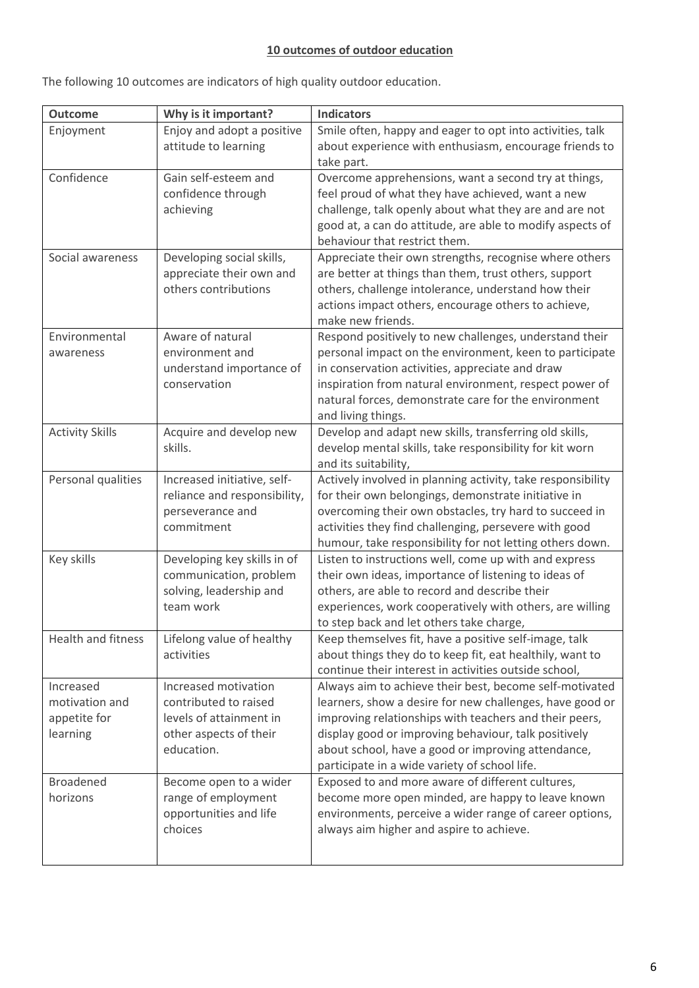# **10 outcomes of outdoor education**

The following 10 outcomes are indicators of high quality outdoor education.

| <b>Outcome</b>         | Why is it important?                    | <b>Indicators</b>                                                                                                 |
|------------------------|-----------------------------------------|-------------------------------------------------------------------------------------------------------------------|
| Enjoyment              | Enjoy and adopt a positive              | Smile often, happy and eager to opt into activities, talk                                                         |
|                        | attitude to learning                    | about experience with enthusiasm, encourage friends to                                                            |
|                        |                                         | take part.                                                                                                        |
| Confidence             | Gain self-esteem and                    | Overcome apprehensions, want a second try at things,                                                              |
|                        | confidence through                      | feel proud of what they have achieved, want a new                                                                 |
|                        | achieving                               | challenge, talk openly about what they are and are not                                                            |
|                        |                                         | good at, a can do attitude, are able to modify aspects of                                                         |
|                        |                                         | behaviour that restrict them.                                                                                     |
| Social awareness       | Developing social skills,               | Appreciate their own strengths, recognise where others                                                            |
|                        | appreciate their own and                | are better at things than them, trust others, support                                                             |
|                        | others contributions                    | others, challenge intolerance, understand how their                                                               |
|                        |                                         | actions impact others, encourage others to achieve,<br>make new friends.                                          |
| Environmental          | Aware of natural                        | Respond positively to new challenges, understand their                                                            |
| awareness              | environment and                         | personal impact on the environment, keen to participate                                                           |
|                        | understand importance of                | in conservation activities, appreciate and draw                                                                   |
|                        | conservation                            | inspiration from natural environment, respect power of                                                            |
|                        |                                         | natural forces, demonstrate care for the environment                                                              |
|                        |                                         | and living things.                                                                                                |
| <b>Activity Skills</b> | Acquire and develop new                 | Develop and adapt new skills, transferring old skills,                                                            |
|                        | skills.                                 | develop mental skills, take responsibility for kit worn                                                           |
|                        |                                         | and its suitability,                                                                                              |
| Personal qualities     | Increased initiative, self-             | Actively involved in planning activity, take responsibility                                                       |
|                        | reliance and responsibility,            | for their own belongings, demonstrate initiative in                                                               |
|                        | perseverance and                        | overcoming their own obstacles, try hard to succeed in                                                            |
|                        | commitment                              | activities they find challenging, persevere with good                                                             |
|                        |                                         | humour, take responsibility for not letting others down.                                                          |
| Key skills             | Developing key skills in of             | Listen to instructions well, come up with and express                                                             |
|                        | communication, problem                  | their own ideas, importance of listening to ideas of                                                              |
|                        | solving, leadership and                 | others, are able to record and describe their                                                                     |
|                        | team work                               | experiences, work cooperatively with others, are willing                                                          |
|                        |                                         | to step back and let others take charge,                                                                          |
| Health and fitness     | Lifelong value of healthy<br>activities | Keep themselves fit, have a positive self-image, talk                                                             |
|                        |                                         | about things they do to keep fit, eat healthily, want to<br>continue their interest in activities outside school, |
| Increased              | Increased motivation                    | Always aim to achieve their best, become self-motivated                                                           |
| motivation and         | contributed to raised                   | learners, show a desire for new challenges, have good or                                                          |
| appetite for           | levels of attainment in                 | improving relationships with teachers and their peers,                                                            |
| learning               | other aspects of their                  | display good or improving behaviour, talk positively                                                              |
|                        | education.                              | about school, have a good or improving attendance,                                                                |
|                        |                                         | participate in a wide variety of school life.                                                                     |
| <b>Broadened</b>       | Become open to a wider                  | Exposed to and more aware of different cultures,                                                                  |
| horizons               | range of employment                     | become more open minded, are happy to leave known                                                                 |
|                        | opportunities and life                  | environments, perceive a wider range of career options,                                                           |
|                        | choices                                 | always aim higher and aspire to achieve.                                                                          |
|                        |                                         |                                                                                                                   |
|                        |                                         |                                                                                                                   |